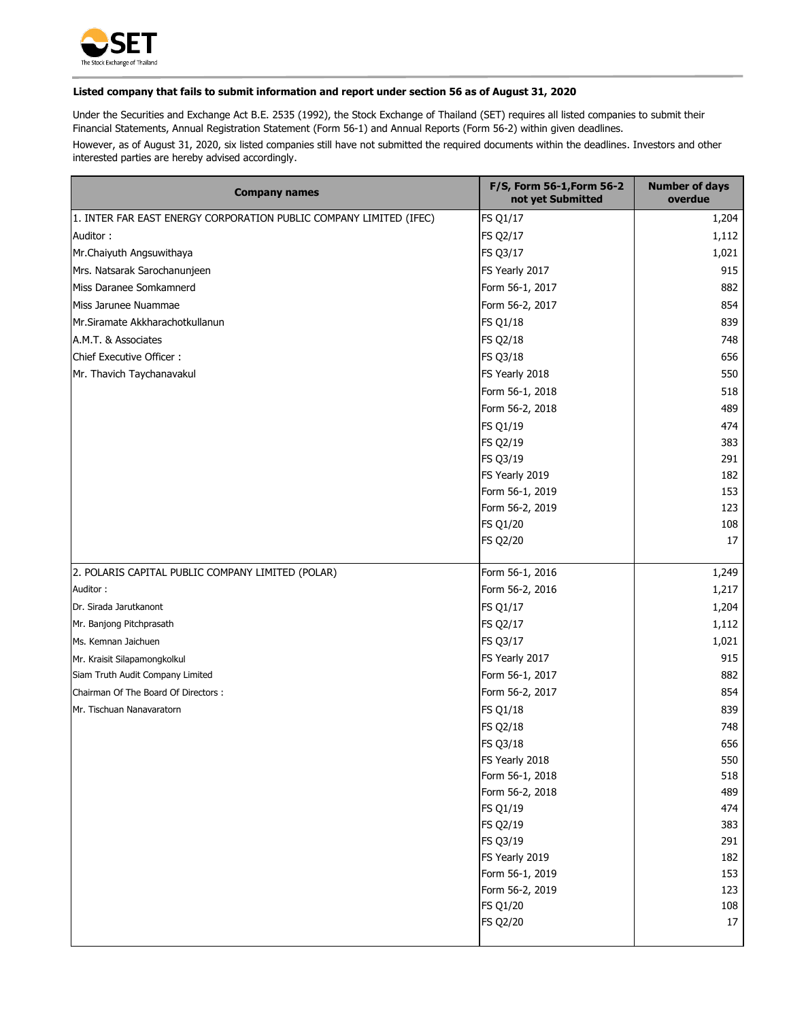

## **Listed company that fails to submit information and report under section 56 as of August 31, 2020**

Under the Securities and Exchange Act B.E. 2535 (1992), the Stock Exchange of Thailand (SET) requires all listed companies to submit their Financial Statements, Annual Registration Statement (Form 56-1) and Annual Reports (Form 56-2) within given deadlines.

However, as of August 31, 2020, six listed companies still have not submitted the required documents within the deadlines. Investors and other interested parties are hereby advised accordingly.

| <b>Company names</b>                                               | F/S, Form 56-1, Form 56-2<br>not yet Submitted | <b>Number of days</b><br>overdue |
|--------------------------------------------------------------------|------------------------------------------------|----------------------------------|
| 1. INTER FAR EAST ENERGY CORPORATION PUBLIC COMPANY LIMITED (IFEC) | <b>FS Q1/17</b>                                | 1,204                            |
| Auditor:                                                           | <b>FS Q2/17</b>                                | 1,112                            |
| Mr.Chaiyuth Angsuwithaya                                           | FS Q3/17                                       | 1,021                            |
| Mrs. Natsarak Sarochanunjeen                                       | FS Yearly 2017                                 | 915                              |
| Miss Daranee Somkamnerd                                            | Form 56-1, 2017                                | 882                              |
| Miss Jarunee Nuammae                                               | Form 56-2, 2017                                | 854                              |
| Mr.Siramate Akkharachotkullanun                                    | <b>FS Q1/18</b>                                | 839                              |
| A.M.T. & Associates                                                | <b>FS Q2/18</b>                                | 748                              |
| Chief Executive Officer:                                           | <b>FS Q3/18</b>                                | 656                              |
| Mr. Thavich Taychanavakul                                          | FS Yearly 2018                                 | 550                              |
|                                                                    | Form 56-1, 2018                                | 518                              |
|                                                                    | Form 56-2, 2018                                | 489                              |
|                                                                    | <b>FS Q1/19</b>                                | 474                              |
|                                                                    | <b>FS Q2/19</b>                                | 383                              |
|                                                                    | <b>FS Q3/19</b>                                | 291                              |
|                                                                    | FS Yearly 2019                                 | 182                              |
|                                                                    | Form 56-1, 2019                                | 153                              |
|                                                                    | Form 56-2, 2019                                | 123                              |
|                                                                    | <b>FS Q1/20</b>                                | 108                              |
|                                                                    | <b>FS Q2/20</b>                                | 17                               |
|                                                                    |                                                |                                  |
| 2. POLARIS CAPITAL PUBLIC COMPANY LIMITED (POLAR)                  | Form 56-1, 2016                                | 1,249                            |
| Auditor:                                                           | Form 56-2, 2016                                | 1,217                            |
| Dr. Sirada Jarutkanont                                             | <b>FS Q1/17</b>                                | 1,204                            |
| Mr. Banjong Pitchprasath                                           | <b>FS Q2/17</b>                                | 1,112                            |
| Ms. Kemnan Jaichuen                                                | FS Q3/17                                       | 1,021                            |
| Mr. Kraisit Silapamongkolkul                                       | FS Yearly 2017                                 | 915                              |
| Siam Truth Audit Company Limited                                   | Form 56-1, 2017                                | 882                              |
| Chairman Of The Board Of Directors :                               | Form 56-2, 2017                                | 854                              |
| Mr. Tischuan Nanavaratorn                                          | <b>FS Q1/18</b>                                | 839                              |
|                                                                    | <b>FS Q2/18</b>                                | 748                              |
|                                                                    | <b>FS Q3/18</b>                                | 656                              |
|                                                                    | FS Yearly 2018                                 | 550                              |
|                                                                    | Form 56-1, 2018                                | 518                              |
|                                                                    | Form 56-2, 2018                                | 489                              |
|                                                                    | <b>FS Q1/19</b>                                | 474                              |
|                                                                    | <b>FS Q2/19</b>                                | 383                              |
|                                                                    | <b>FS Q3/19</b>                                | 291                              |
|                                                                    | FS Yearly 2019                                 | 182                              |
|                                                                    | Form 56-1, 2019                                | 153                              |
|                                                                    | Form 56-2, 2019                                | 123                              |
|                                                                    | <b>FS Q1/20</b>                                | 108                              |
|                                                                    | <b>FS Q2/20</b>                                | 17                               |